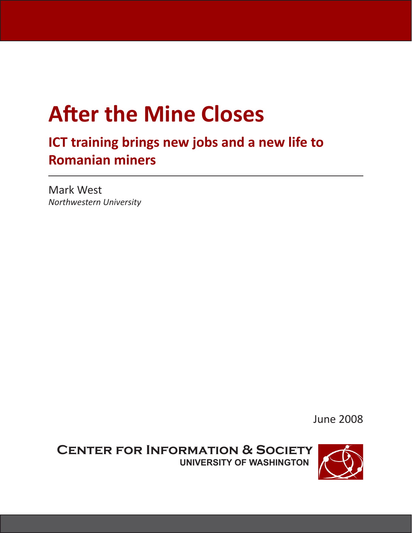# **After the Mine Closes**

## **ICT training brings new jobs and a new life to Romanian miners**

Mark West *Northwestern University*

June 2008

**Center for Information & Society University of Washington**

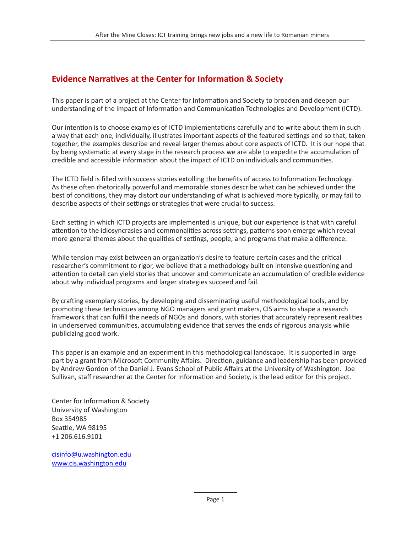#### **Evidence Narratives at the Center for Information & Society**

This paper is part of a project at the Center for Information and Society to broaden and deepen our understanding of the impact of Information and Communication Technologies and Development (ICTD).

Our intention is to choose examples of ICTD implementations carefully and to write about them in such a way that each one, individually, illustrates important aspects of the featured settings and so that, taken together, the examples describe and reveal larger themes about core aspects of ICTD. It is our hope that by being systematic at every stage in the research process we are able to expedite the accumulation of credible and accessible information about the impact of ICTD on individuals and communities.

The ICTD field is filled with success stories extolling the benefits of access to Information Technology. As these often rhetorically powerful and memorable stories describe what can be achieved under the best of conditions, they may distort our understanding of what is achieved more typically, or may fail to describe aspects of their settings or strategies that were crucial to success.

Each setting in which ICTD projects are implemented is unique, but our experience is that with careful attention to the idiosyncrasies and commonalities across settings, patterns soon emerge which reveal more general themes about the qualities of settings, people, and programs that make a difference.

While tension may exist between an organization's desire to feature certain cases and the critical researcher's commitment to rigor, we believe that a methodology built on intensive questioning and attention to detail can yield stories that uncover and communicate an accumulation of credible evidence about why individual programs and larger strategies succeed and fail.

By crafting exemplary stories, by developing and disseminating useful methodological tools, and by promoting these techniques among NGO managers and grant makers, CIS aims to shape a research framework that can fulfill the needs of NGOs and donors, with stories that accurately represent realities in underserved communities, accumulating evidence that serves the ends of rigorous analysis while publicizing good work.

This paper is an example and an experiment in this methodological landscape. It is supported in large part by a grant from Microsoft Community Affairs. Direction, guidance and leadership has been provided by Andrew Gordon of the Daniel J. Evans School of Public Affairs at the University of Washington. Joe Sullivan, staff researcher at the Center for Information and Society, is the lead editor for this project.

Center for Information & Society University of Washington Box 354985 Seattle, WA 98195 +1 206.616.9101

cisinfo@u.washington.edu www.cis.washington.edu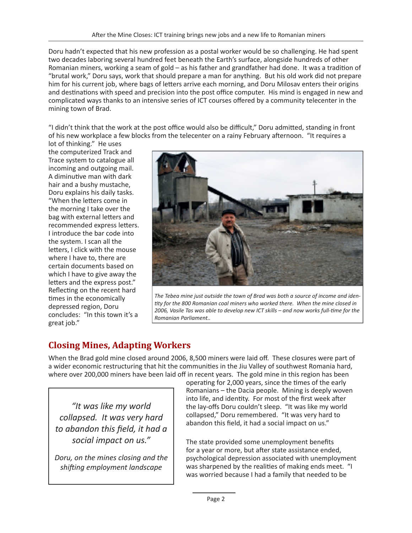Doru hadn't expected that his new profession as a postal worker would be so challenging. He had spent two decades laboring several hundred feet beneath the Earth's surface, alongside hundreds of other Romanian miners, working a seam of gold – as his father and grandfather had done. It was a tradition of "brutal work," Doru says, work that should prepare a man for anything. But his old work did not prepare him for his current job, where bags of letters arrive each morning, and Doru Milosav enters their origins and destinations with speed and precision into the post office computer. His mind is engaged in new and complicated ways thanks to an intensive series of ICT courses offered by a community telecenter in the mining town of Brad.

"I didn't think that the work at the post office would also be difficult," Doru admitted, standing in front of his new workplace a few blocks from the telecenter on a rainy February afternoon. "It requires a

lot of thinking." He uses the computerized Track and Trace system to catalogue all incoming and outgoing mail. A diminutive man with dark hair and a bushy mustache, Doru explains his daily tasks. "When the letters come in the morning I take over the bag with external letters and recommended express letters. I introduce the bar code into the system. I scan all the letters, I click with the mouse where I have to, there are certain documents based on which I have to give away the letters and the express post." Reflecting on the recent hard times in the economically depressed region, Doru concludes: "In this town it's a great job."



*The Tebea mine just outside the town of Brad was both a source of income and identity for the 800 Romanian coal miners who worked there. When the mine closed in 2006, Vasile Tas was able to develop new ICT skills – and now works full-time for the Romanian Parliament..*

### **Closing Mines, Adapting Workers**

When the Brad gold mine closed around 2006, 8,500 miners were laid off. These closures were part of a wider economic restructuring that hit the communities in the Jiu Valley of southwest Romania hard, where over 200,000 miners have been laid off in recent years. The gold mine in this region has been

*"It was like my world collapsed. It was very hard to abandon this field, it had a social impact on us."*

*Doru, on the mines closing and the shifting employment landscape*

operating for 2,000 years, since the times of the early Romanians – the Dacia people. Mining is deeply woven into life, and identity. For most of the first week after the lay-offs Doru couldn't sleep. "It was like my world collapsed," Doru remembered. "It was very hard to abandon this field, it had a social impact on us."

The state provided some unemployment benefits for a year or more, but after state assistance ended, psychological depression associated with unemployment was sharpened by the realities of making ends meet. "I was worried because I had a family that needed to be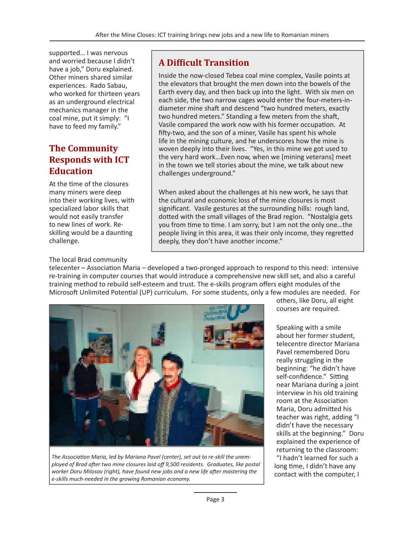supported… I was nervous and worried because I didn't have a job," Doru explained. Other miners shared similar experiences. Rado Sabau, who worked for thirteen years as an underground electrical mechanics manager in the coal mine, put it simply: "I have to feed my family."

#### **The Community Responds with ICT Education**

At the time of the closures many miners were deep into their working lives, with specialized labor skills that would not easily transfer to new lines of work. Reskilling would be a daunting challenge.

The local Brad community

#### **A Difficult Transition**

Inside the now-closed Tebea coal mine complex, Vasile points at the elevators that brought the men down into the bowels of the Earth every day, and then back up into the light. With six men on each side, the two narrow cages would enter the four-meters-indiameter mine shaft and descend "two hundred meters, exactly two hundred meters." Standing a few meters from the shaft, Vasile compared the work now with his former occupation. At fifty-two, and the son of a miner, Vasile has spent his whole life in the mining culture, and he underscores how the mine is woven deeply into their lives. "Yes, in this mine we got used to the very hard work…Even now, when we [mining veterans] meet in the town we tell stories about the mine, we talk about new challenges underground."

When asked about the challenges at his new work, he says that the cultural and economic loss of the mine closures is most significant. Vasile gestures at the surrounding hills: rough land, dotted with the small villages of the Brad region. "Nostalgia gets you from time to time. I am sorry, but I am not the only one…the people living in this area, it was their only income, they regretted deeply, they don't have another income."

telecenter – Association Maria – developed a two-pronged approach to respond to this need: intensive re-training in computer courses that would introduce a comprehensive new skill set, and also a careful training method to rebuild self-esteem and trust. The e-skills program offers eight modules of the Microsoft Unlimited Potential (UP) curriculum. For some students, only a few modules are needed. For



*The Association Maria, led by Mariana Pavel (center), set out to re-skill the unemployed of Brad after two mine closures laid off 9,500 residents. Graduates, like postal worker Doru Milosav (right), have found new jobs and a new life after mastering the e-skills much-needed in the growing Romanian economy.*

others, like Doru, all eight courses are required.

Speaking with a smile about her former student, telecentre director Mariana Pavel remembered Doru really struggling in the beginning: "he didn't have self-confidence." Sitting near Mariana during a joint interview in his old training room at the Association Maria, Doru admitted his teacher was right, adding "I didn't have the necessary skills at the beginning." Doru explained the experience of returning to the classroom: "I hadn't learned for such a long time, I didn't have any contact with the computer, I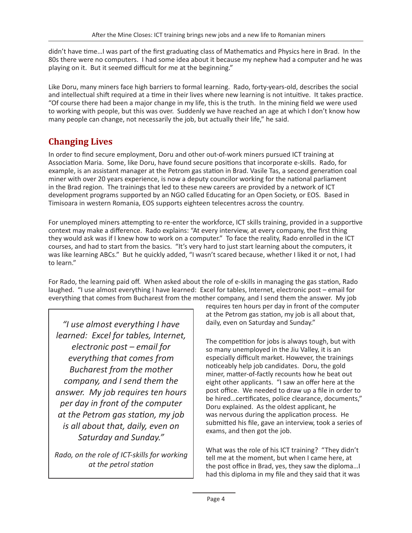didn't have time…I was part of the first graduating class of Mathematics and Physics here in Brad. In the 80s there were no computers. I had some idea about it because my nephew had a computer and he was playing on it. But it seemed difficult for me at the beginning."

Like Doru, many miners face high barriers to formal learning. Rado, forty-years-old, describes the social and intellectual shift required at a time in their lives where new learning is not intuitive. It takes practice. "Of course there had been a major change in my life, this is the truth. In the mining field we were used to working with people, but this was over. Suddenly we have reached an age at which I don't know how many people can change, not necessarily the job, but actually their life," he said.

### **Changing Lives**

In order to find secure employment, Doru and other out-of-work miners pursued ICT training at Association Maria. Some, like Doru, have found secure positions that incorporate e-skills. Rado, for example, is an assistant manager at the Petrom gas station in Brad. Vasile Tas, a second generation coal miner with over 20 years experience, is now a deputy councilor working for the national parliament in the Brad region. The trainings that led to these new careers are provided by a network of ICT development programs supported by an NGO called Educating for an Open Society, or EOS. Based in Timisoara in western Romania, EOS supports eighteen telecentres across the country.

For unemployed miners attempting to re-enter the workforce, ICT skills training, provided in a supportive context may make a difference. Rado explains: "At every interview, at every company, the first thing they would ask was if I knew how to work on a computer." To face the reality, Rado enrolled in the ICT courses, and had to start from the basics. "It's very hard to just start learning about the computers, it was like learning ABCs." But he quickly added, "I wasn't scared because, whether I liked it or not, I had to learn."

For Rado, the learning paid off. When asked about the role of e-skills in managing the gas station, Rado laughed. "I use almost everything I have learned: Excel for tables, Internet, electronic post – email for everything that comes from Bucharest from the mother company, and I send them the answer. My job

*"I use almost everything I have learned: Excel for tables, Internet, electronic post – email for everything that comes from Bucharest from the mother company, and I send them the answer. My job requires ten hours per day in front of the computer at the Petrom gas station, my job is all about that, daily, even on Saturday and Sunday."*

*Rado, on the role of ICT-skills for working at the petrol station*

requires ten hours per day in front of the computer at the Petrom gas station, my job is all about that, daily, even on Saturday and Sunday."

The competition for jobs is always tough, but with so many unemployed in the Jiu Valley, it is an especially difficult market. However, the trainings noticeably help job candidates. Doru, the gold miner, matter-of-factly recounts how he beat out eight other applicants. "I saw an offer here at the post office. We needed to draw up a file in order to be hired…certificates, police clearance, documents," Doru explained. As the oldest applicant, he was nervous during the application process. He submitted his file, gave an interview, took a series of exams, and then got the job.

What was the role of his ICT training? "They didn't tell me at the moment, but when I came here, at the post office in Brad, yes, they saw the diploma…I had this diploma in my file and they said that it was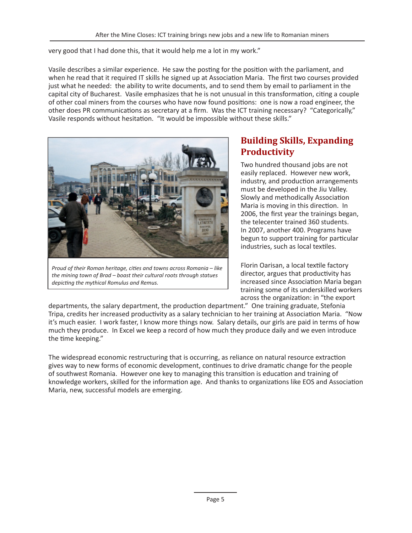very good that I had done this, that it would help me a lot in my work."

Vasile describes a similar experience. He saw the posting for the position with the parliament, and when he read that it required IT skills he signed up at Association Maria. The first two courses provided just what he needed: the ability to write documents, and to send them by email to parliament in the capital city of Bucharest. Vasile emphasizes that he is not unusual in this transformation, citing a couple of other coal miners from the courses who have now found positions: one is now a road engineer, the other does PR communications as secretary at a firm. Was the ICT training necessary? "Categorically," Vasile responds without hesitation. "It would be impossible without these skills."



*Proud of their Roman heritage, cities and towns across Romania – like the mining town of Brad – boast their cultural roots through statues depicting the mythical Romulus and Remus.*

#### **Building Skills, Expanding Productivity**

Two hundred thousand jobs are not easily replaced. However new work, industry, and production arrangements must be developed in the Jiu Valley. Slowly and methodically Association Maria is moving in this direction. In 2006, the first year the trainings began, the telecenter trained 360 students. In 2007, another 400. Programs have begun to support training for particular industries, such as local textiles.

Florin Oarisan, a local textile factory director, argues that productivity has increased since Association Maria began training some of its underskilled workers across the organization: in "the export

departments, the salary department, the production department." One training graduate, Stefonia Tripa, credits her increased productivity as a salary technician to her training at Association Maria. "Now it's much easier. I work faster, I know more things now. Salary details, our girls are paid in terms of how much they produce. In Excel we keep a record of how much they produce daily and we even introduce the time keeping."

The widespread economic restructuring that is occurring, as reliance on natural resource extraction gives way to new forms of economic development, continues to drive dramatic change for the people of southwest Romania. However one key to managing this transition is education and training of knowledge workers, skilled for the information age. And thanks to organizations like EOS and Association Maria, new, successful models are emerging.